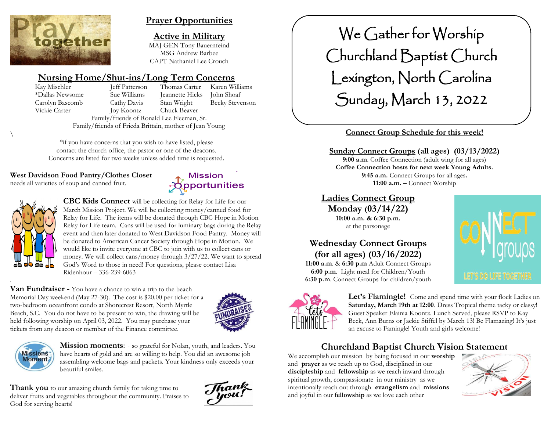

# **Prayer Opportunities**

**Active in Military** MAJ GEN Tony Bauernfeind MSG Andrew Barbee CAPT Nathaniel Lee Crouch

> **Mission Reportunities**

# **Nursing Home/Shut-ins/Long Term Concerns**

Kay Mischler **Jeff Patterson** Thomas Carter Karen Williams \*Dallas Newsome Sue Williams Jeannette Hicks John Shoaf Carolyn Bascomb Cathy Davis Stan Wright Becky Stevenson Vickie Carter Joy Koontz Chuck Beaver Family/friends of Ronald Lee Fleeman, Sr. Family/friends of Frieda Brittain, mother of Jean Young

\*if you have concerns that you wish to have listed, please contact the church office, the pastor or one of the deacons. Concerns are listed for two weeks unless added time is requested.

#### **West Davidson Food Pantry/Clothes Closet**

needs all varieties of soup and canned fruit.



 $\backslash$ 

.

**CBC Kids Connect** will be collecting for Relay for Life for our March Mission Project. We will be collecting money/canned food for Relay for Life. The items will be donated through CBC Hope in Motion Relay for Life team. Cans will be used for luminary bags during the Relay event and then later donated to West Davidson Food Pantry. Money will be donated to American Cancer Society through Hope in Motion. We would like to invite everyone at CBC to join with us to collect cans or money. We will collect cans/money through 3/27/22. We want to spread God's Word to those in need! For questions, please contact Lisa Ridenhour – 336-239-6063

**Van Fundraiser -** You have a chance to win a trip to the beach Memorial Day weekend (May 27-30). The cost is \$20.00 per ticket for a two-bedroom oceanfront condo at Shorecrest Resort, North Myrtle Beach, S.C. You do not have to be present to win, the drawing will be held following worship on April 03, 2022. You may purchase your tickets from any deacon or member of the Finance committee.





**Mission moments:** - so grateful for Nolan, youth, and leaders. You have hearts of gold and are so willing to help. You did an awesome job assembling welcome bags and packets. Your kindness only exceeds your beautiful smiles.

**Thank you** to our amazing church family for taking time to deliver fruits and vegetables throughout the community. Praises to God for serving hearts!

Thank<br>you!

# We Gather for Worship Churchland Baptist Church Lexington, North Carolina Sunday, March 13, 2022

# **Connect Group Schedule for this week!**

#### **Sunday Connect Groups (all ages) (03/13/2022)**

**9:00 a.m**. Coffee Connection (adult wing for all ages) **Coffee Connection hosts for next week Young Adults. 9:45 a.m.** Connect Groups for all ages**. 11:00 a.m. –** Connect Worship

### **Ladies Connect Group**

**Monday (03/14/22) 10:00 a.m. & 6:30 p.m.** at the parsonage

# **Wednesday Connect Groups (for all ages) (03/16/2022)**

**11:00 a.m**. & **6:30 p.m** Adult Connect Groups **6:00 p.m**. Light meal for Children/Youth **6:30 p.m**. Connect Groups for children/youth





Let's Flamingle! Come and spend time with your flock Ladies on **Saturday, March 19th at 12:00**. Dress Tropical theme tacky or classy! Guest Speaker Elainia Koontz. Lunch Served, please RSVP to Kay Beck, Ann Burns or Jackie Stiffel by March 13! Be Flamazing! It's just an excuse to Famingle! Youth and girls welcome!

# **Churchland Baptist Church Vision Statement**

We accomplish our mission by being focused in our **worship** and **prayer** as we reach up to God, disciplined in our **discipleship** and **fellowship** as we reach inward through spiritual growth, compassionate in our ministry as we intentionally reach out through **evangelism** and **missions** and joyful in our **fellowship** as we love each other

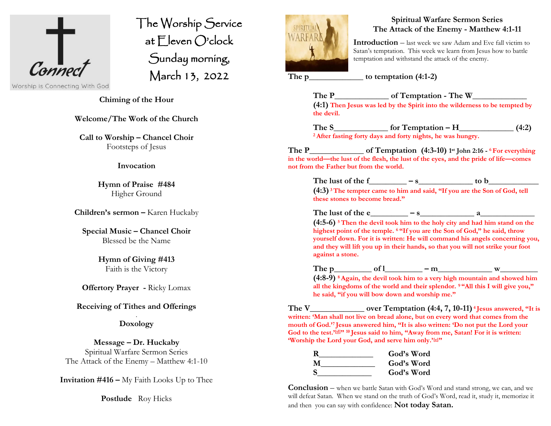

The Worship Service at Eleven O'clock Sunday morning, March 13, 2022  $\overline{a}$ 

Worship is Connecting With God

**Chiming of the Hour**

**Welcome/The Work of the Church**

**Call to Worship – Chancel Choir** Footsteps of Jesus

#### **Invocation**

**Hymn of Praise #484** Higher Ground

**Children's sermon –** Karen Huckaby

**Special Music – Chancel Choir** Blessed be the Name

> **Hymn of Giving #413** Faith is the Victory

**Offertory Prayer -** Ricky Lomax

#### **Receiving of Tithes and Offerings**

#### . **Doxology**

**Message – Dr. Huckaby** Spiritual Warfare Sermon Series The Attack of the Enemy – Matthew 4:1-10

**Invitation #416 –** My Faith Looks Up to Thee

**Postlude** Roy Hicks



#### **Spiritual Warfare Sermon Series The Attack of the Enemy - Matthew 4:1-11**

**Introduction** – last week we saw Adam and Eve fall victim to Satan's temptation. This week we learn from Jesus how to battle temptation and withstand the attack of the enemy.

**The p\_\_\_\_\_\_\_\_\_\_\_\_\_ to temptation (4:1-2)**

**The P\_\_\_\_\_\_\_\_\_\_\_\_\_ of Temptation - The W\_\_\_\_\_\_\_\_\_\_\_\_\_ (4:1) Then Jesus was led by the Spirit into the wilderness to be tempted by the devil.**

**The S\_\_\_\_\_\_\_\_\_\_\_\_\_ for Temptation – H\_\_\_\_\_\_\_\_\_\_\_\_\_ (4:2) <sup>2</sup> After fasting forty days and forty nights, he was hungry.**

**The P\_\_\_\_\_\_\_\_\_\_\_\_\_ of Temptation (4:3-10) 1 st John 2:16 - <sup>6</sup> For everything in the world—the lust of the flesh, the lust of the eyes, and the pride of life—comes not from the Father but from the world.**

**The lust of the f\_\_\_\_\_\_\_\_\_ – s\_\_\_\_\_\_\_\_\_\_\_\_\_ to b\_\_\_\_\_\_\_\_\_\_\_\_**

**(4:3) <sup>3</sup>The tempter came to him and said, "If you are the Son of God, tell these stones to become bread."**

The lust of the e  $-$  **s**  $a$ 

**(4:5-6) <sup>5</sup>Then the devil took him to the holy city and had him stand on the highest point of the temple. <sup>6</sup> "If you are the Son of God," he said, throw yourself down. For it is written: He will command his angels concerning you, and they will lift you up in their hands, so that you will not strike your foot against a stone.**

**The p\_\_\_\_\_\_\_\_\_ of l\_\_\_\_\_\_\_\_\_ – m\_\_\_\_\_\_\_\_\_\_\_\_\_ w\_\_\_\_\_\_\_\_\_ (4:8-9) <sup>8</sup> Again, the devil took him to a very high mountain and showed him** 

**all the kingdoms of the world and their splendor. <sup>9</sup> "All this I will give you," he said, "if you will bow down and worship me."**

**The V\_\_\_\_\_\_\_\_\_\_\_\_\_ over Temptation (4:4, 7, 10-11) <sup>4</sup> Jesus answered, "It is written: 'Man shall not live on bread alone, but on every word that comes from the mouth of God.'<sup>7</sup> Jesus answered him, "It is also written: 'Do not put the Lord your God to the test.'[\[d\]](https://www.biblegateway.com/passage/?search=Matthew+4&version=NIV#fen-NIV-23217d)" <sup>10</sup> Jesus said to him, "Away from me, Satan! For it is written: 'Worship the Lord your God, and serve him only.'[\[e\]](https://www.biblegateway.com/passage/?search=Matthew+4&version=NIV#fen-NIV-23220e)"**

| R        | God's Word |
|----------|------------|
| M        | God's Word |
| <b>S</b> | God's Word |

**Conclusion** – when we battle Satan with God's Word and stand strong, we can, and we will defeat Satan. When we stand on the truth of God's Word, read it, study it, memorize it and then you can say with confidence: **Not today Satan.**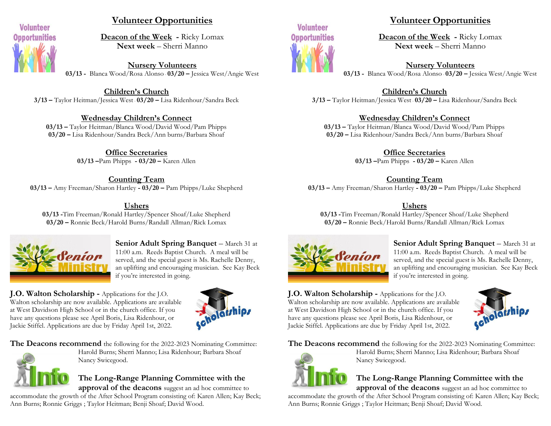![](_page_2_Picture_0.jpeg)

## **Volunteer Opportunities**

**Deacon of the Week -** Ricky Lomax **Next week** – Sherri Manno

**Nursery Volunteers 03/13 -** Blanca Wood/Rosa Alonso - **03/20 –** Jessica West/Angie West

**Children's Church 3/13 –** Taylor Heitman/Jessica West - **03/20 –** Lisa Ridenhour/Sandra Beck

#### **Wednesday Children's Connect**

**03/13 –** Taylor Heitman/Blanca Wood/David Wood/Pam Phipps **03/20 –** Lisa Ridenhour/Sandra Beck/Ann burns/Barbara Shoaf

> **Office Secretaries 03/13 –**Pam Phipps **- 03/20 –** Karen Allen

**Counting Team 03/13 –** Amy Freeman/Sharon Hartley **- 03/20 –** Pam Phipps/Luke Shepherd

#### **Ushers**

**03/13 -**Tim Freeman/Ronald Hartley/Spencer Shoaf/Luke Shepherd **03/20 –** Ronnie Beck/Harold Burns/Randall Allman/Rick Lomax

![](_page_2_Picture_11.jpeg)

**Senior Adult Spring Banquet** – March 31 at 11:00 a.m. Reeds Baptist Church. A meal will be served, and the special guest is Ms. Rachelle Denny, an uplifting and encouraging musician. See Kay Beck if you're interested in going.

**J.O. Walton Scholarship -** Applications for the J.O. Walton scholarship are now available. Applications are available at West Davidson High School or in the church office. If you have any questions please see April Boris, Lisa Ridenhour, or Jackie Stiffel. Applications are due by Friday April 1st, 2022.

![](_page_2_Picture_14.jpeg)

**The Deacons recommend** the following for the 2022-2023 Nominating Committee:

![](_page_2_Picture_16.jpeg)

Harold Burns; Sherri Manno; Lisa Ridenhour; Barbara Shoaf Nancy Swicegood.

# **The Long-Range Planning Committee with the**

**approval of the deacons** suggest an ad hoc committee to accommodate the growth of the After School Program consisting of: Karen Allen; Kay Beck; Ann Burns; Ronnie Griggs ; Taylor Heitman; Benji Shoaf; David Wood.

![](_page_2_Picture_20.jpeg)

# **Volunteer Opportunities**

**Deacon of the Week -** Ricky Lomax **Next week** – Sherri Manno

**Nursery Volunteers 03/13 -** Blanca Wood/Rosa Alonso - **03/20 –** Jessica West/Angie West

**Children's Church 3/13 –** Taylor Heitman/Jessica West - **03/20 –** Lisa Ridenhour/Sandra Beck

#### **Wednesday Children's Connect**

**03/13 –** Taylor Heitman/Blanca Wood/David Wood/Pam Phipps **03/20 –** Lisa Ridenhour/Sandra Beck/Ann burns/Barbara Shoaf

> **Office Secretaries 03/13 –**Pam Phipps **- 03/20 –** Karen Allen

> > **Counting Team**

**03/13 –** Amy Freeman/Sharon Hartley **- 03/20 –** Pam Phipps/Luke Shepherd

#### **Ushers**

**03/13 -**Tim Freeman/Ronald Hartley/Spencer Shoaf/Luke Shepherd **03/20 –** Ronnie Beck/Harold Burns/Randall Allman/Rick Lomax

![](_page_2_Picture_32.jpeg)

**Senior Adult Spring Banquet** – March 31 at 11:00 a.m. Reeds Baptist Church. A meal will be served, and the special guest is Ms. Rachelle Denny, an uplifting and encouraging musician. See Kay Beck if you're interested in going.

**J.O. Walton Scholarship -** Applications for the J.O. Walton scholarship are now available. Applications are available at West Davidson High School or in the church office. If you have any questions please see April Boris, Lisa Ridenhour, or Jackie Stiffel. Applications are due by Friday April 1st, 2022.

![](_page_2_Picture_35.jpeg)

**The Deacons recommend** the following for the 2022-2023 Nominating Committee:

![](_page_2_Picture_37.jpeg)

Harold Burns; Sherri Manno; Lisa Ridenhour; Barbara Shoaf Nancy Swicegood.

# **The Long-Range Planning Committee with the**

**approval of the deacons** suggest an ad hoc committee to accommodate the growth of the After School Program consisting of: Karen Allen; Kay Beck; Ann Burns; Ronnie Griggs ; Taylor Heitman; Benji Shoaf; David Wood.